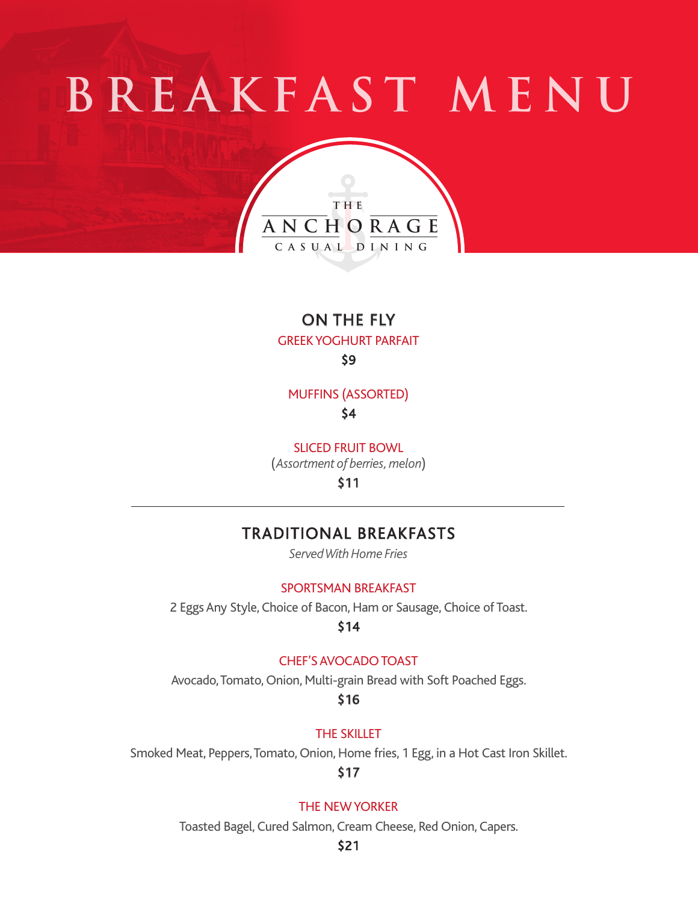# **B R E A K F A S T M E N U**



# ON THE FLY GREEK YOGHURT PARFAIT \$9

MUFFINS (ASSORTED) \$4

SLICED FRUIT BOWL

(*Assortment of berries, melon*)

\$11

# TRADITIONAL BREAKFASTS

*Served With Home Fries*

## SPORTSMAN BREAKFAST

2 Eggs Any Style, Choice of Bacon, Ham or Sausage, Choice of Toast.

\$14

## CHEF'S AVOCADO TOAST

Avocado, Tomato, Onion, Multi-grain Bread with Soft Poached Eggs.

\$16

THE SKILLET

Smoked Meat, Peppers, Tomato, Onion, Home fries, 1 Egg, in a Hot Cast Iron Skillet.

# \$17

## THE NEW YORKER

Toasted Bagel, Cured Salmon, Cream Cheese, Red Onion, Capers.

## \$21